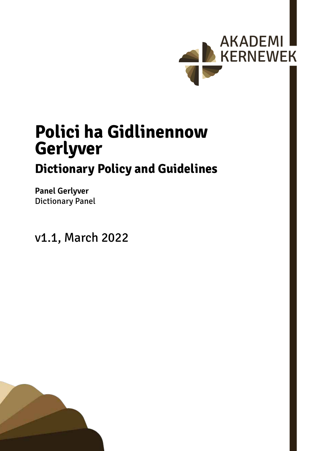

# **Polici ha Gidlinennow Gerlyver Dictionary Policy and Guidelines**

**Panel Gerlyver** Dictionary Panel

v1.1, March 2022

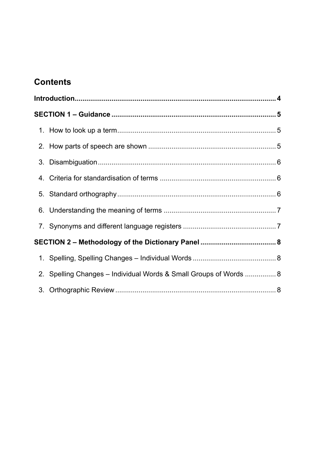# **Contents**

|  | 2. Spelling Changes - Individual Words & Small Groups of Words  8 |  |  |  |  |
|--|-------------------------------------------------------------------|--|--|--|--|
|  |                                                                   |  |  |  |  |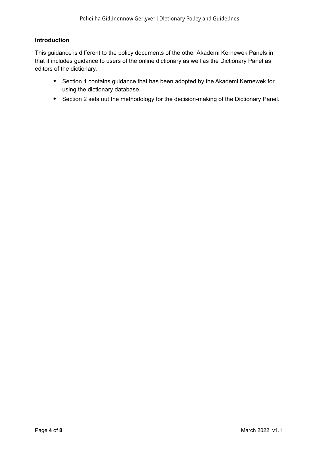## <span id="page-3-0"></span>**Introduction**

This guidance is different to the policy documents of the other Akademi Kernewek Panels in that it includes guidance to users of the online dictionary as well as the Dictionary Panel as editors of the dictionary.

- Section <sup>1</sup> contains guidance that has been adopted by the Akademi Kernewek for using the dictionary database.
- Section 2 sets out the methodology for the decision-making of the Dictionary Panel.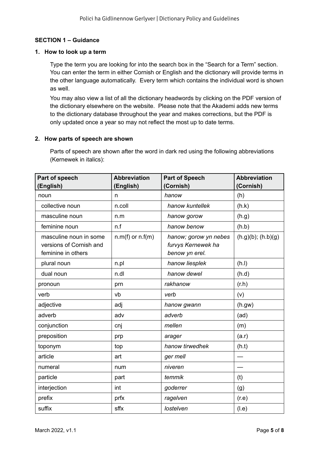# <span id="page-4-0"></span>**SECTION 1 – Guidance**

#### **1. How to look up a term**

Type the term you are looking for into the search box in the "Search for a Term" section. You can enter the term in either Cornish or English and the dictionary will provide terms in the other language automatically. Every term which contains the individual word is shown as well.

You may also view a list of all the dictionary headwords by clicking on the PDF version of the dictionary elsewhere on the website. Please note that the Akademi adds new terms to the dictionary database throughout the year and makes corrections, but the PDF is only updated once a year so may not reflect the most up to date terms.

#### **2. How parts of speech are shown**

Parts of speech are shown after the word in dark red using the following abbreviations (Kernewek in italics):

| Part of speech                                                          | <b>Abbreviation</b>  | <b>Part of Speech</b><br>(Cornish)                            | <b>Abbreviation</b><br>(Cornish) |
|-------------------------------------------------------------------------|----------------------|---------------------------------------------------------------|----------------------------------|
| (English)                                                               | (English)            |                                                               |                                  |
| noun                                                                    | n                    | hanow                                                         | (h)                              |
| collective noun                                                         | n.coll               | hanow kuntellek                                               | (h.k)                            |
| masculine noun                                                          | n.m                  | hanow gorow                                                   | (h.g)                            |
| feminine noun                                                           | n.f                  | hanow benow                                                   | (h.b)                            |
| masculine noun in some<br>versions of Cornish and<br>feminine in others | $n.m(f)$ or $n.f(m)$ | hanow; gorow yn nebes<br>furvys Kernewek ha<br>benow yn erel. | (h.g)(b); (h.b)(g)               |
| plural noun                                                             | n.pl                 | hanow liesplek                                                | (h.l)                            |
| dual noun                                                               | n.dl                 | hanow dewel                                                   | (h.d)                            |
| pronoun                                                                 | prn                  | rakhanow                                                      | (r.h)                            |
| verb                                                                    | vb                   | verb                                                          | (v)                              |
| adjective                                                               | adj                  | hanow gwann                                                   | (h.gw)                           |
| adverb                                                                  | adv                  | adverb                                                        | (ad)                             |
| conjunction                                                             | cnj                  | mellen                                                        | (m)                              |
| preposition                                                             | prp                  | arager                                                        | (a.r)                            |
| toponym                                                                 | top                  | hanow tirwedhek                                               | (h.t)                            |
| article                                                                 | art                  | ger mell                                                      |                                  |
| numeral                                                                 | num                  | niveren                                                       |                                  |
| particle                                                                | part                 | temmik                                                        | (t)                              |
| interjection                                                            | int                  | goderrer                                                      | (g)                              |
| prefix                                                                  | prfx                 | ragelven                                                      | (r.e)                            |
| suffix                                                                  | sffx                 | lostelven                                                     | (l.e)                            |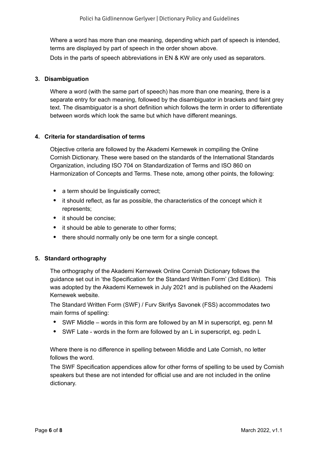<span id="page-5-0"></span>Where a word has more than one meaning, depending which part of speech is intended, terms are displayed by part of speech in the order shown above. Dots in the parts of speech abbreviations in EN & KW are only used as separators.

#### **3. Disambiguation**

Where a word (with the same part of speech) has more than one meaning, there is a separate entry for each meaning, followed by the disambiguator in brackets and faint grey text. The disambiguator is a short definition which follows the term in order to differentiate between words which look the same but which have different meanings.

#### **4. Criteria for standardisation of terms**

Objective criteria are followed by the Akademi Kernewek in compiling the Online Cornish Dictionary. These were based on the standards of the International Standards Organization, including ISO 704 on Standardization of Terms and ISO 860 on Harmonization of Concepts and Terms. These note, among other points, the following:

- a term should be linguistically correct;
- it should reflect, as far as possible, the characteristics of the concept which it represents;
- it should be concise;
- it should be able to generate to other forms:
- there should normally only be one term for a single concept.

#### **5. Standard orthography**

The orthography of the Akademi Kernewek Online Cornish Dictionary follows the guidance set out in 'the Specification for the Standard Written Form' (3rd Edition). This was adopted by the Akademi Kernewek in July 2021 and is published on the Akademi Kernewek website.

The Standard Written Form (SWF) / Furv Skrifys Savonek (FSS) accommodates two main forms of spelling:

- SWF Middle words in this form are followed by an M in superscript, eg. penn M
- SWF Late words in the form are followed by an L in superscript, eg. pedn L

Where there is no difference in spelling between Middle and Late Cornish, no letter follows the word.

The SWF Specification appendices allow for other forms of spelling to be used by Cornish speakers but these are not intended for official use and are not included in the online dictionary.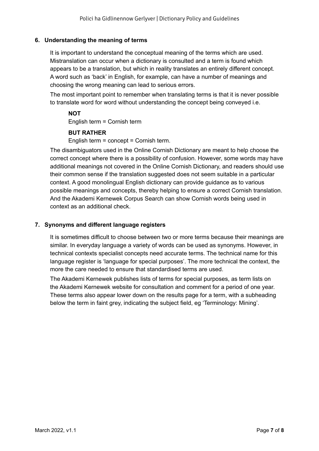## <span id="page-6-0"></span>**6. Understanding the meaning of terms**

It is important to understand the conceptual meaning of the terms which are used. Mistranslation can occur when a dictionary is consulted and a term is found which appears to be a translation, but which in reality translates an entirely different concept. A word such as 'back' in English, for example, can have a number of meanings and choosing the wrong meaning can lead to serious errors.

The most important point to remember when translating terms is that it is never possible to translate word for word without understanding the concept being conveyed i.e.

#### **NOT**

English term = Cornish term

# **BUT RATHER**

English term = concept = Cornish term.

The disambiguators used in the Online Cornish Dictionary are meant to help choose the correct concept where there is a possibility of confusion. However, some words may have additional meanings not covered in the Online Cornish Dictionary, and readers should use their common sense if the translation suggested does not seem suitable in a particular context. A good monolingual English dictionary can provide guidance as to various possible meanings and concepts, thereby helping to ensure a correct Cornish translation. And the Akademi Kernewek Corpus Search can show Cornish words being used in context as an additional check.

# **7. Synonyms and different language registers**

It is sometimes difficult to choose between two or more terms because their meanings are similar. In everyday language a variety of words can be used as synonyms. However, in technical contexts specialist concepts need accurate terms. The technical name for this language register is 'language for special purposes'. The more technical the context, the more the care needed to ensure that standardised terms are used.

The Akademi Kernewek publishes lists of terms for special purposes, as term lists on the Akademi Kernewek website for consultation and comment for a period of one year. These terms also appear lower down on the results page for a term, with a subheading below the term in faint grey, indicating the subject field, eg 'Terminology: Mining'.